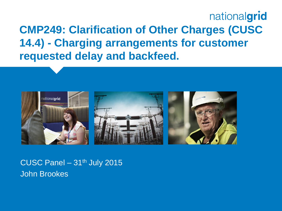### nationalgrid **CMP249: Clarification of Other Charges (CUSC 14.4) - Charging arrangements for customer requested delay and backfeed.**



CUSC Panel  $-31<sup>th</sup>$  July 2015 John Brookes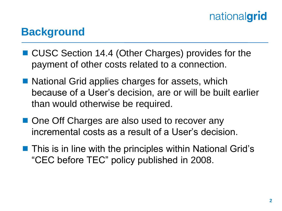#### **Background**

- CUSC Section 14.4 (Other Charges) provides for the payment of other costs related to a connection.
- National Grid applies charges for assets, which because of a User's decision, are or will be built earlier than would otherwise be required.
- One Off Charges are also used to recover any incremental costs as a result of a User's decision.
- **This is in line with the principles within National Grid's** "CEC before TEC" policy published in 2008.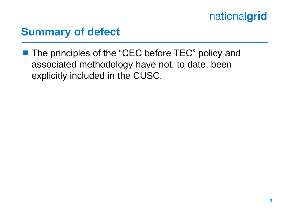#### **Summary of defect**

■ The principles of the "CEC before TEC" policy and associated methodology have not, to date, been explicitly included in the CUSC.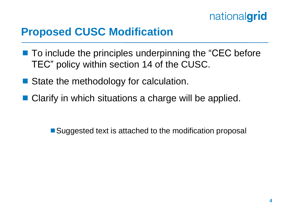

#### **Proposed CUSC Modification**

- To include the principles underpinning the "CEC before" TEC" policy within section 14 of the CUSC.
- State the methodology for calculation.
- Clarify in which situations a charge will be applied.

■ Suggested text is attached to the modification proposal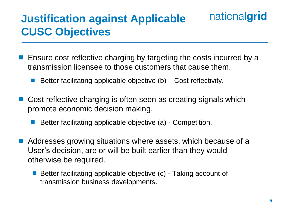### **Justification against Applicable CUSC Objectives**

- **E** Ensure cost reflective charging by targeting the costs incurred by a transmission licensee to those customers that cause them.
	- Better facilitating applicable objective (b) Cost reflectivity.
- Cost reflective charging is often seen as creating signals which promote economic decision making.
	- Better facilitating applicable objective (a) Competition.
- Addresses growing situations where assets, which because of a User's decision, are or will be built earlier than they would otherwise be required.
	- Better facilitating applicable objective (c) Taking account of transmission business developments.

nationalgrid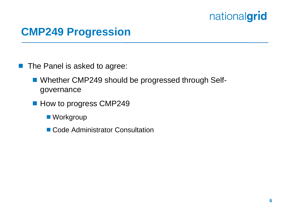#### **CMP249 Progression**

**The Panel is asked to agree:** 

- Whether CMP249 should be progressed through Selfgovernance
- How to progress CMP249
	- Workgroup
	- Code Administrator Consultation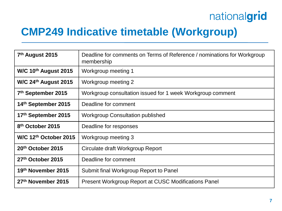#### **CMP249 Indicative timetable (Workgroup)**

| 7 <sup>th</sup> August 2015    | Deadline for comments on Terms of Reference / nominations for Workgroup<br>membership |
|--------------------------------|---------------------------------------------------------------------------------------|
| W/C 10th August 2015           | Workgroup meeting 1                                                                   |
| W/C $24th$ August 2015         | Workgroup meeting 2                                                                   |
| 7 <sup>th</sup> September 2015 | Workgroup consultation issued for 1 week Workgroup comment                            |
| 14th September 2015            | Deadline for comment                                                                  |
| 17th September 2015            | <b>Workgroup Consultation published</b>                                               |
| 8th October 2015               | Deadline for responses                                                                |
| W/C $12th$ October 2015        | Workgroup meeting 3                                                                   |
| 20th October 2015              | Circulate draft Workgroup Report                                                      |
| 27th October 2015              | Deadline for comment                                                                  |
| 19th November 2015             | Submit final Workgroup Report to Panel                                                |
| 27th November 2015             | <b>Present Workgroup Report at CUSC Modifications Panel</b>                           |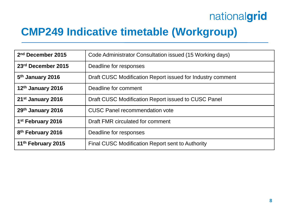#### **CMP249 Indicative timetable (Workgroup)**

| 2 <sup>nd</sup> December 2015  | Code Administrator Consultation issued (15 Working days)   |
|--------------------------------|------------------------------------------------------------|
| 23rd December 2015             | Deadline for responses                                     |
| 5 <sup>th</sup> January 2016   | Draft CUSC Modification Report issued for Industry comment |
| 12th January 2016              | Deadline for comment                                       |
| 21 <sup>st</sup> January 2016  | Draft CUSC Modification Report issued to CUSC Panel        |
| 29th January 2016              | <b>CUSC Panel recommendation vote</b>                      |
| 1 <sup>st</sup> February 2016  | Draft FMR circulated for comment                           |
| 8 <sup>th</sup> February 2016  | Deadline for responses                                     |
| 11 <sup>th</sup> February 2015 | Final CUSC Modification Report sent to Authority           |